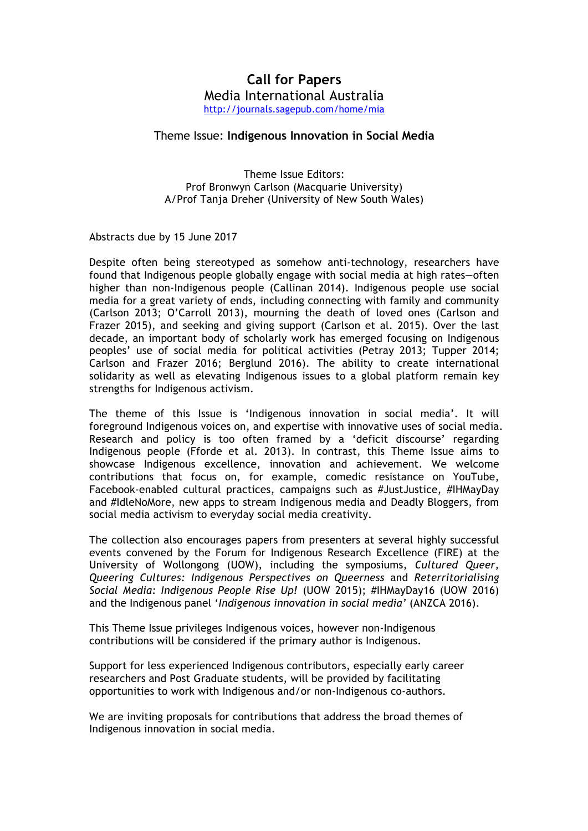# **Call for Papers** Media International Australia http://journals.sagepub.com/home/mia

# Theme Issue: **Indigenous Innovation in Social Media**

Theme Issue Editors: Prof Bronwyn Carlson (Macquarie University) A/Prof Tanja Dreher (University of New South Wales)

Abstracts due by 15 June 2017

Despite often being stereotyped as somehow anti-technology, researchers have found that Indigenous people globally engage with social media at high rates—often higher than non-Indigenous people (Callinan 2014). Indigenous people use social media for a great variety of ends, including connecting with family and community (Carlson 2013; O'Carroll 2013), mourning the death of loved ones (Carlson and Frazer 2015), and seeking and giving support (Carlson et al. 2015). Over the last decade, an important body of scholarly work has emerged focusing on Indigenous peoples' use of social media for political activities (Petray 2013; Tupper 2014; Carlson and Frazer 2016; Berglund 2016). The ability to create international solidarity as well as elevating Indigenous issues to a global platform remain key strengths for Indigenous activism.

The theme of this Issue is 'Indigenous innovation in social media'. It will foreground Indigenous voices on, and expertise with innovative uses of social media. Research and policy is too often framed by a 'deficit discourse' regarding Indigenous people (Fforde et al. 2013). In contrast, this Theme Issue aims to showcase Indigenous excellence, innovation and achievement. We welcome contributions that focus on, for example, comedic resistance on YouTube, Facebook-enabled cultural practices, campaigns such as #JustJustice, #IHMayDay and #IdleNoMore, new apps to stream Indigenous media and Deadly Bloggers, from social media activism to everyday social media creativity.

The collection also encourages papers from presenters at several highly successful events convened by the Forum for Indigenous Research Excellence (FIRE) at the University of Wollongong (UOW), including the symposiums, *Cultured Queer, Queering Cultures: Indigenous Perspectives on Queerness* and *Reterritorialising Social Media: Indigenous People Rise Up!* (UOW 2015); #IHMayDay16 (UOW 2016) and the Indigenous panel '*Indigenous innovation in social media'* (ANZCA 2016).

This Theme Issue privileges Indigenous voices, however non-Indigenous contributions will be considered if the primary author is Indigenous.

Support for less experienced Indigenous contributors, especially early career researchers and Post Graduate students, will be provided by facilitating opportunities to work with Indigenous and/or non-Indigenous co-authors.

We are inviting proposals for contributions that address the broad themes of Indigenous innovation in social media.